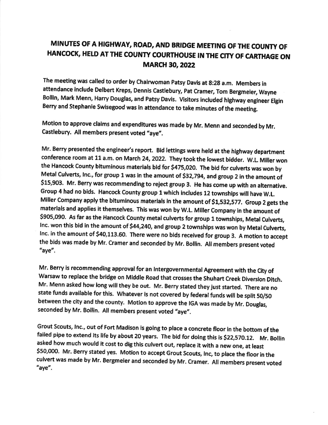## MINUTES OF A HIGHWAY, ROAD, AND BRIDGE MEETING OF THE COUNTY OF HANCOCK, HELD AT THE COUNTY COURTHOUSE IN THE CITY OF CARTHAGE ON **MARCH 30, 2022**

The meeting was called to order by Chairwoman Patsy Davis at 8:28 a.m. Members in attendance include Delbert Kreps, Dennis Castlebury, Pat Cramer, Tom Bergmeier, Wayne Bollin, Mark Menn, Harry Douglas, and Patsy Davis. Visitors included highway engineer Elgin Berry and Stephanie Swisegood was in attendance to take minutes of the meeting.

Motion to approve claims and expenditures was made by Mr. Menn and seconded by Mr. Castlebury. All members present voted "aye".

Mr. Berry presented the engineer's report. Bid lettings were held at the highway department conference room at 11 a.m. on March 24 2022. They took the lowest bldder. w.L Miller won the Hancock County bituminous materials bid for \$475,020. The bid for culverts was won by Metal Culverts, Inc., for group 1 was in the amount of \$32,794, and group 2 in the amount of \$15,903. Mr. Berry was recommending to reject group 3. He has come up with an alternative. Group 4 had no bids. Hancock County group 1 which includes 12 townships will have W.L. Miller Company apply the bituminous materials in the amount of \$1,532,577. Group 2 gets the materials and applies it themselves. This was won by W.L. Miller Company in the amount of s905,090. As far as the Hancock county metal culverts for group 1 townshlps, Metal culverts, Inc. won this bid in the amount of \$44,240, and group 2 townships was won by Metal Culverts, Inc. in the amount of \$40,113.60. There were no bids received for group 3. A motion to accept the bids was made by Mr, cramer and seconded by Mr, Bollin. All members present voted "aYe".

Mr. Berry is recommending approval for an Intergovernmental Agreement with the City of Warsaw to replace the bridge on Middle Road that crosses the Shuhart Creek Diversion Ditch. Mr. Menn asked how long will they be out. Mr. Berry stated they just started. There are no state funds available for this. Whatever is not covered by federal funds will be split 50/50 between the city and the county. Motion to approve the IGA was made by Mr. Douglas, seconded by Mr. Bollin. All members present voted "aye".

Grout Scouts, Inc., out of Fort Madison is going to place a concrete floor in the bottom of the failed pipe to extend its life by about 20 years. The bid for doing this is \$22,570.12. Mr. Bollin asked how much would it cost to dig this culvert out, replace it with a new one, at least \$50,000. Mr. Berry stated yes. Motion to accept Grout Scouts, Inc, to place the floor in the culvert was made by Mr. Bergmeier and seconded by Mr. Cramer. All members present voted "aYe'.